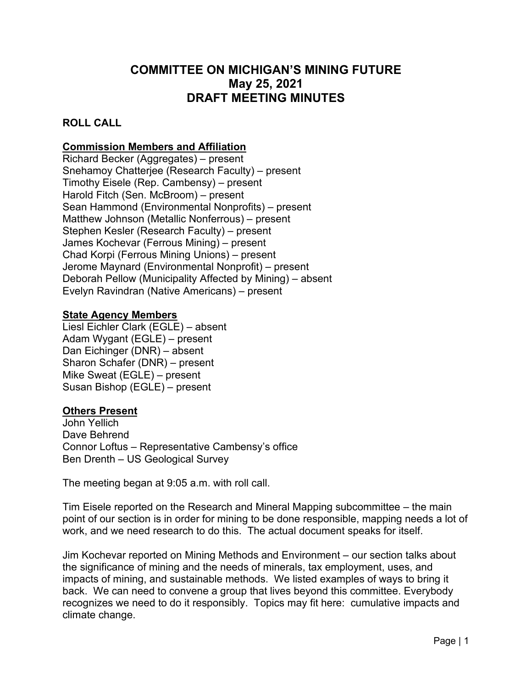# **COMMITTEE ON MICHIGAN'S MINING FUTURE May 25, 2021 DRAFT MEETING MINUTES**

### **ROLL CALL**

## **Commission Members and Affiliation**

Richard Becker (Aggregates) – present Snehamoy Chatterjee (Research Faculty) – present Timothy Eisele (Rep. Cambensy) – present Harold Fitch (Sen. McBroom) – present Sean Hammond (Environmental Nonprofits) – present Matthew Johnson (Metallic Nonferrous) – present Stephen Kesler (Research Faculty) – present James Kochevar (Ferrous Mining) – present Chad Korpi (Ferrous Mining Unions) – present Jerome Maynard (Environmental Nonprofit) – present Deborah Pellow (Municipality Affected by Mining) – absent Evelyn Ravindran (Native Americans) – present

#### **State Agency Members**

Liesl Eichler Clark (EGLE) – absent Adam Wygant (EGLE) – present Dan Eichinger (DNR) – absent Sharon Schafer (DNR) – present Mike Sweat (EGLE) – present Susan Bishop (EGLE) – present

#### **Others Present**

John Yellich Dave Behrend Connor Loftus – Representative Cambensy's office Ben Drenth – US Geological Survey

The meeting began at 9:05 a.m. with roll call.

Tim Eisele reported on the Research and Mineral Mapping subcommittee – the main point of our section is in order for mining to be done responsible, mapping needs a lot of work, and we need research to do this. The actual document speaks for itself.

Jim Kochevar reported on Mining Methods and Environment – our section talks about the significance of mining and the needs of minerals, tax employment, uses, and impacts of mining, and sustainable methods. We listed examples of ways to bring it back. We can need to convene a group that lives beyond this committee. Everybody recognizes we need to do it responsibly. Topics may fit here: cumulative impacts and climate change.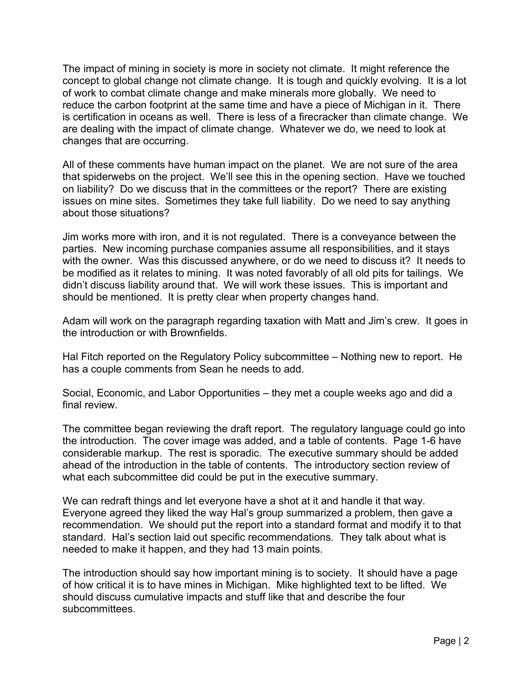The impact of mining in society is more in society not climate. It might reference the concept to global change not climate change. It is tough and quickly evolving. It is a lot of work to combat climate change and make minerals more globally. We need to reduce the carbon footprint at the same time and have a piece of Michigan in it. There is certification in oceans as well. There is less of a firecracker than climate change. We are dealing with the impact of climate change. Whatever we do, we need to look at changes that are occurring.

All of these comments have human impact on the planet. We are not sure of the area that spiderwebs on the project. We'll see this in the opening section. Have we touched on liability? Do we discuss that in the committees or the report? There are existing issues on mine sites. Sometimes they take full liability. Do we need to say anything about those situations?

Jim works more with iron, and it is not regulated. There is a conveyance between the parties. New incoming purchase companies assume all responsibilities, and it stays with the owner. Was this discussed anywhere, or do we need to discuss it? It needs to be modified as it relates to mining. It was noted favorably of all old pits for tailings. We didn't discuss liability around that. We will work these issues. This is important and should be mentioned. It is pretty clear when property changes hand.

Adam will work on the paragraph regarding taxation with Matt and Jim's crew. It goes in the introduction or with Brownfields.

Hal Fitch reported on the Regulatory Policy subcommittee – Nothing new to report. He has a couple comments from Sean he needs to add.

Social, Economic, and Labor Opportunities – they met a couple weeks ago and did a final review.

The committee began reviewing the draft report. The regulatory language could go into the introduction. The cover image was added, and a table of contents. Page 1-6 have considerable markup. The rest is sporadic. The executive summary should be added ahead of the introduction in the table of contents. The introductory section review of what each subcommittee did could be put in the executive summary.

We can redraft things and let everyone have a shot at it and handle it that way. Everyone agreed they liked the way Hal's group summarized a problem, then gave a recommendation. We should put the report into a standard format and modify it to that standard. Hal's section laid out specific recommendations. They talk about what is needed to make it happen, and they had 13 main points.

The introduction should say how important mining is to society. It should have a page of how critical it is to have mines in Michigan. Mike highlighted text to be lifted. We should discuss cumulative impacts and stuff like that and describe the four subcommittees.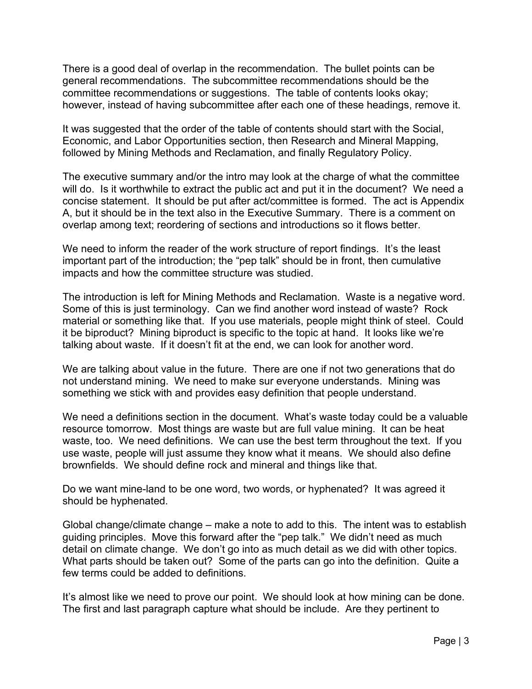There is a good deal of overlap in the recommendation. The bullet points can be general recommendations. The subcommittee recommendations should be the committee recommendations or suggestions. The table of contents looks okay; however, instead of having subcommittee after each one of these headings, remove it.

It was suggested that the order of the table of contents should start with the Social, Economic, and Labor Opportunities section, then Research and Mineral Mapping, followed by Mining Methods and Reclamation, and finally Regulatory Policy.

The executive summary and/or the intro may look at the charge of what the committee will do. Is it worthwhile to extract the public act and put it in the document? We need a concise statement. It should be put after act/committee is formed. The act is Appendix A, but it should be in the text also in the Executive Summary. There is a comment on overlap among text; reordering of sections and introductions so it flows better.

We need to inform the reader of the work structure of report findings. It's the least important part of the introduction; the "pep talk" should be in front, then cumulative impacts and how the committee structure was studied.

The introduction is left for Mining Methods and Reclamation. Waste is a negative word. Some of this is just terminology. Can we find another word instead of waste? Rock material or something like that. If you use materials, people might think of steel. Could it be biproduct? Mining biproduct is specific to the topic at hand. It looks like we're talking about waste. If it doesn't fit at the end, we can look for another word.

We are talking about value in the future. There are one if not two generations that do not understand mining. We need to make sur everyone understands. Mining was something we stick with and provides easy definition that people understand.

We need a definitions section in the document. What's waste today could be a valuable resource tomorrow. Most things are waste but are full value mining. It can be heat waste, too. We need definitions. We can use the best term throughout the text. If you use waste, people will just assume they know what it means. We should also define brownfields. We should define rock and mineral and things like that.

Do we want mine-land to be one word, two words, or hyphenated? It was agreed it should be hyphenated.

Global change/climate change – make a note to add to this. The intent was to establish guiding principles. Move this forward after the "pep talk." We didn't need as much detail on climate change. We don't go into as much detail as we did with other topics. What parts should be taken out? Some of the parts can go into the definition. Quite a few terms could be added to definitions.

It's almost like we need to prove our point. We should look at how mining can be done. The first and last paragraph capture what should be include. Are they pertinent to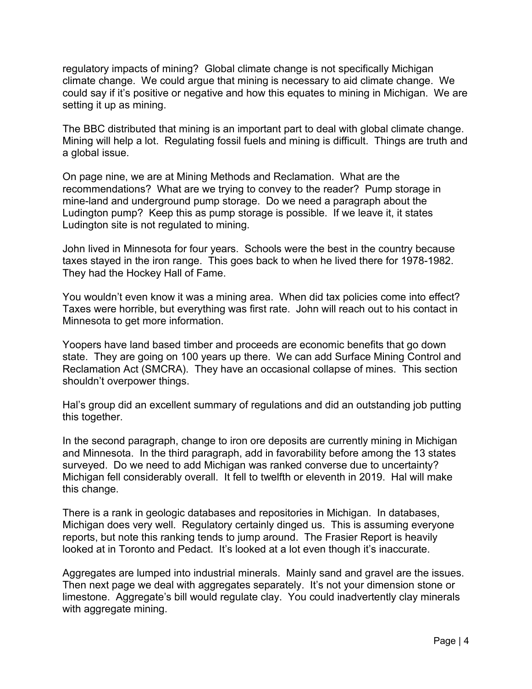regulatory impacts of mining? Global climate change is not specifically Michigan climate change. We could argue that mining is necessary to aid climate change. We could say if it's positive or negative and how this equates to mining in Michigan. We are setting it up as mining.

The BBC distributed that mining is an important part to deal with global climate change. Mining will help a lot. Regulating fossil fuels and mining is difficult. Things are truth and a global issue.

On page nine, we are at Mining Methods and Reclamation. What are the recommendations? What are we trying to convey to the reader? Pump storage in mine-land and underground pump storage. Do we need a paragraph about the Ludington pump? Keep this as pump storage is possible. If we leave it, it states Ludington site is not regulated to mining.

John lived in Minnesota for four years. Schools were the best in the country because taxes stayed in the iron range. This goes back to when he lived there for 1978-1982. They had the Hockey Hall of Fame.

You wouldn't even know it was a mining area. When did tax policies come into effect? Taxes were horrible, but everything was first rate. John will reach out to his contact in Minnesota to get more information.

Yoopers have land based timber and proceeds are economic benefits that go down state. They are going on 100 years up there. We can add Surface Mining Control and Reclamation Act (SMCRA). They have an occasional collapse of mines. This section shouldn't overpower things.

Hal's group did an excellent summary of regulations and did an outstanding job putting this together.

In the second paragraph, change to iron ore deposits are currently mining in Michigan and Minnesota. In the third paragraph, add in favorability before among the 13 states surveyed. Do we need to add Michigan was ranked converse due to uncertainty? Michigan fell considerably overall. It fell to twelfth or eleventh in 2019. Hal will make this change.

There is a rank in geologic databases and repositories in Michigan. In databases, Michigan does very well. Regulatory certainly dinged us. This is assuming everyone reports, but note this ranking tends to jump around. The Frasier Report is heavily looked at in Toronto and Pedact. It's looked at a lot even though it's inaccurate.

Aggregates are lumped into industrial minerals. Mainly sand and gravel are the issues. Then next page we deal with aggregates separately. It's not your dimension stone or limestone. Aggregate's bill would regulate clay. You could inadvertently clay minerals with aggregate mining.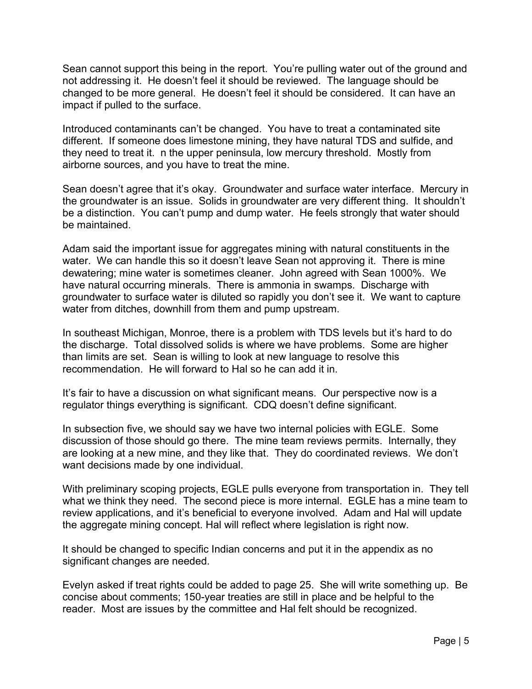Sean cannot support this being in the report. You're pulling water out of the ground and not addressing it. He doesn't feel it should be reviewed. The language should be changed to be more general. He doesn't feel it should be considered. It can have an impact if pulled to the surface.

Introduced contaminants can't be changed. You have to treat a contaminated site different. If someone does limestone mining, they have natural TDS and sulfide, and they need to treat it. n the upper peninsula, low mercury threshold. Mostly from airborne sources, and you have to treat the mine.

Sean doesn't agree that it's okay. Groundwater and surface water interface. Mercury in the groundwater is an issue. Solids in groundwater are very different thing. It shouldn't be a distinction. You can't pump and dump water. He feels strongly that water should be maintained.

Adam said the important issue for aggregates mining with natural constituents in the water. We can handle this so it doesn't leave Sean not approving it. There is mine dewatering; mine water is sometimes cleaner. John agreed with Sean 1000%. We have natural occurring minerals. There is ammonia in swamps. Discharge with groundwater to surface water is diluted so rapidly you don't see it. We want to capture water from ditches, downhill from them and pump upstream.

In southeast Michigan, Monroe, there is a problem with TDS levels but it's hard to do the discharge. Total dissolved solids is where we have problems. Some are higher than limits are set. Sean is willing to look at new language to resolve this recommendation. He will forward to Hal so he can add it in.

It's fair to have a discussion on what significant means. Our perspective now is a regulator things everything is significant. CDQ doesn't define significant.

In subsection five, we should say we have two internal policies with EGLE. Some discussion of those should go there. The mine team reviews permits. Internally, they are looking at a new mine, and they like that. They do coordinated reviews. We don't want decisions made by one individual.

With preliminary scoping projects, EGLE pulls everyone from transportation in. They tell what we think they need. The second piece is more internal. EGLE has a mine team to review applications, and it's beneficial to everyone involved. Adam and Hal will update the aggregate mining concept. Hal will reflect where legislation is right now.

It should be changed to specific Indian concerns and put it in the appendix as no significant changes are needed.

Evelyn asked if treat rights could be added to page 25. She will write something up. Be concise about comments; 150-year treaties are still in place and be helpful to the reader. Most are issues by the committee and Hal felt should be recognized.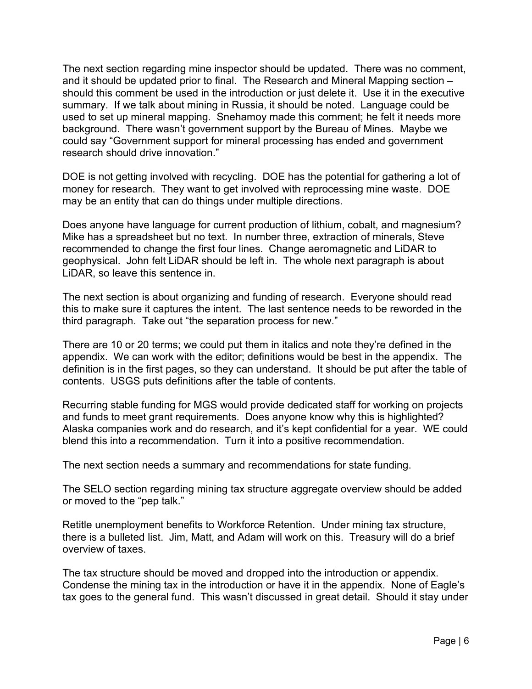The next section regarding mine inspector should be updated. There was no comment, and it should be updated prior to final. The Research and Mineral Mapping section – should this comment be used in the introduction or just delete it. Use it in the executive summary. If we talk about mining in Russia, it should be noted. Language could be used to set up mineral mapping. Snehamoy made this comment; he felt it needs more background. There wasn't government support by the Bureau of Mines. Maybe we could say "Government support for mineral processing has ended and government research should drive innovation."

DOE is not getting involved with recycling. DOE has the potential for gathering a lot of money for research. They want to get involved with reprocessing mine waste. DOE may be an entity that can do things under multiple directions.

Does anyone have language for current production of lithium, cobalt, and magnesium? Mike has a spreadsheet but no text. In number three, extraction of minerals, Steve recommended to change the first four lines. Change aeromagnetic and LiDAR to geophysical. John felt LiDAR should be left in. The whole next paragraph is about LiDAR, so leave this sentence in.

The next section is about organizing and funding of research. Everyone should read this to make sure it captures the intent. The last sentence needs to be reworded in the third paragraph. Take out "the separation process for new."

There are 10 or 20 terms; we could put them in italics and note they're defined in the appendix. We can work with the editor; definitions would be best in the appendix. The definition is in the first pages, so they can understand. It should be put after the table of contents. USGS puts definitions after the table of contents.

Recurring stable funding for MGS would provide dedicated staff for working on projects and funds to meet grant requirements. Does anyone know why this is highlighted? Alaska companies work and do research, and it's kept confidential for a year. WE could blend this into a recommendation. Turn it into a positive recommendation.

The next section needs a summary and recommendations for state funding.

The SELO section regarding mining tax structure aggregate overview should be added or moved to the "pep talk."

Retitle unemployment benefits to Workforce Retention. Under mining tax structure, there is a bulleted list. Jim, Matt, and Adam will work on this. Treasury will do a brief overview of taxes.

The tax structure should be moved and dropped into the introduction or appendix. Condense the mining tax in the introduction or have it in the appendix. None of Eagle's tax goes to the general fund. This wasn't discussed in great detail. Should it stay under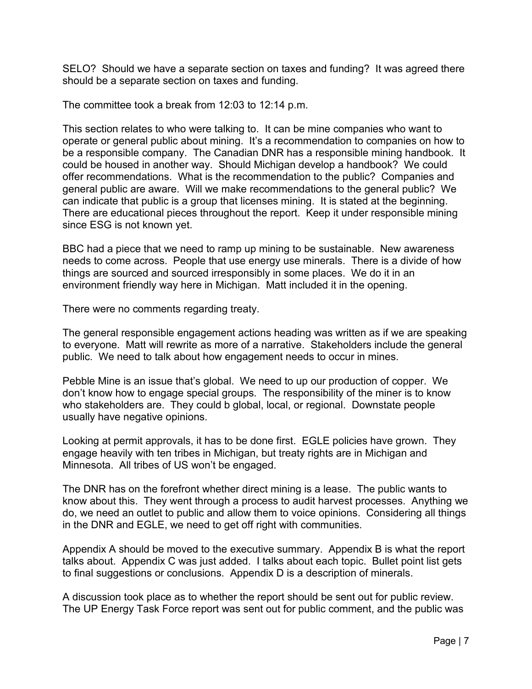SELO? Should we have a separate section on taxes and funding? It was agreed there should be a separate section on taxes and funding.

The committee took a break from 12:03 to 12:14 p.m.

This section relates to who were talking to. It can be mine companies who want to operate or general public about mining. It's a recommendation to companies on how to be a responsible company. The Canadian DNR has a responsible mining handbook. It could be housed in another way. Should Michigan develop a handbook? We could offer recommendations. What is the recommendation to the public? Companies and general public are aware. Will we make recommendations to the general public? We can indicate that public is a group that licenses mining. It is stated at the beginning. There are educational pieces throughout the report. Keep it under responsible mining since ESG is not known yet.

BBC had a piece that we need to ramp up mining to be sustainable. New awareness needs to come across. People that use energy use minerals. There is a divide of how things are sourced and sourced irresponsibly in some places. We do it in an environment friendly way here in Michigan. Matt included it in the opening.

There were no comments regarding treaty.

The general responsible engagement actions heading was written as if we are speaking to everyone. Matt will rewrite as more of a narrative. Stakeholders include the general public. We need to talk about how engagement needs to occur in mines.

Pebble Mine is an issue that's global. We need to up our production of copper. We don't know how to engage special groups. The responsibility of the miner is to know who stakeholders are. They could b global, local, or regional. Downstate people usually have negative opinions.

Looking at permit approvals, it has to be done first. EGLE policies have grown. They engage heavily with ten tribes in Michigan, but treaty rights are in Michigan and Minnesota. All tribes of US won't be engaged.

The DNR has on the forefront whether direct mining is a lease. The public wants to know about this. They went through a process to audit harvest processes. Anything we do, we need an outlet to public and allow them to voice opinions. Considering all things in the DNR and EGLE, we need to get off right with communities.

Appendix A should be moved to the executive summary. Appendix B is what the report talks about. Appendix C was just added. I talks about each topic. Bullet point list gets to final suggestions or conclusions. Appendix D is a description of minerals.

A discussion took place as to whether the report should be sent out for public review. The UP Energy Task Force report was sent out for public comment, and the public was